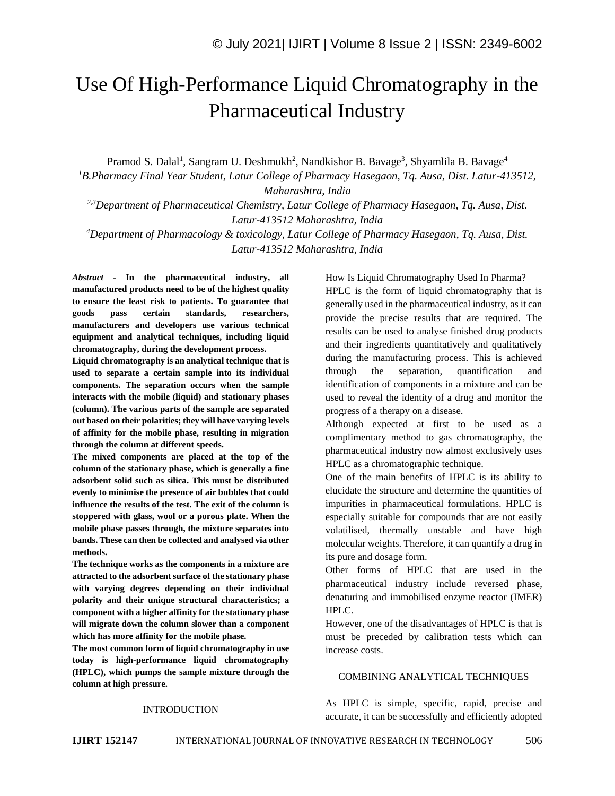# Use Of High-Performance Liquid Chromatography in the Pharmaceutical Industry

Pramod S. Dalal<sup>1</sup>, Sangram U. Deshmukh<sup>2</sup>, Nandkishor B. Bavage<sup>3</sup>, Shyamlila B. Bavage<sup>4</sup>

*<sup>1</sup>B.Pharmacy Final Year Student, Latur College of Pharmacy Hasegaon, Tq. Ausa, Dist. Latur-413512, Maharashtra, India*

*2,3Department of Pharmaceutical Chemistry, Latur College of Pharmacy Hasegaon, Tq. Ausa, Dist. Latur-413512 Maharashtra, India*

*<sup>4</sup>Department of Pharmacology & toxicology, Latur College of Pharmacy Hasegaon, Tq. Ausa, Dist. Latur-413512 Maharashtra, India*

*Abstract -* **In the pharmaceutical industry, all manufactured products need to be of the highest quality to ensure the least risk to patients. To guarantee that goods pass certain standards, researchers, manufacturers and developers use various technical equipment and analytical techniques, including liquid chromatography, during the development process.**

**Liquid chromatography is an analytical technique that is used to separate a certain sample into its individual components. The separation occurs when the sample interacts with the mobile (liquid) and stationary phases (column). The various parts of the sample are separated out based on their polarities; they will have varying levels of affinity for the mobile phase, resulting in migration through the column at different speeds.**

**The mixed components are placed at the top of the column of the stationary phase, which is generally a fine adsorbent solid such as silica. This must be distributed evenly to minimise the presence of air bubbles that could influence the results of the test. The exit of the column is stoppered with glass, wool or a porous plate. When the mobile phase passes through, the mixture separates into bands. These can then be collected and analysed via other methods.**

**The technique works as the components in a mixture are attracted to the adsorbent surface of the stationary phase with varying degrees depending on their individual polarity and their unique structural characteristics; a component with a higher affinity for the stationary phase will migrate down the column slower than a component which has more affinity for the mobile phase.**

**The most common form of liquid chromatography in use today is high-performance liquid chromatography (HPLC), which pumps the sample mixture through the column at high pressure.**

How Is Liquid Chromatography Used In Pharma? HPLC is the form of liquid chromatography that is generally used in the pharmaceutical industry, as it can provide the precise results that are required. The results can be used to analyse finished drug products and their ingredients quantitatively and qualitatively during the manufacturing process. This is achieved through the separation, quantification and identification of components in a mixture and can be used to reveal the identity of a drug and monitor the progress of a therapy on a disease.

Although expected at first to be used as a complimentary method to gas chromatography, the pharmaceutical industry now almost exclusively uses HPLC as a chromatographic technique.

One of the main benefits of HPLC is its ability to elucidate the structure and determine the quantities of impurities in pharmaceutical formulations. HPLC is especially suitable for compounds that are not easily volatilised, thermally unstable and have high molecular weights. Therefore, it can quantify a drug in its pure and dosage form.

Other forms of HPLC that are used in the pharmaceutical industry include reversed phase, denaturing and immobilised enzyme reactor (IMER) HPLC.

However, one of the disadvantages of HPLC is that is must be preceded by calibration tests which can increase costs.

#### COMBINING ANALYTICAL TECHNIQUES

As HPLC is simple, specific, rapid, precise and accurate, it can be successfully and efficiently adopted

# INTRODUCTION

**IJIRT 152147** INTERNATIONAL JOURNAL OF INNOVATIVE RESEARCH IN TECHNOLOGY 506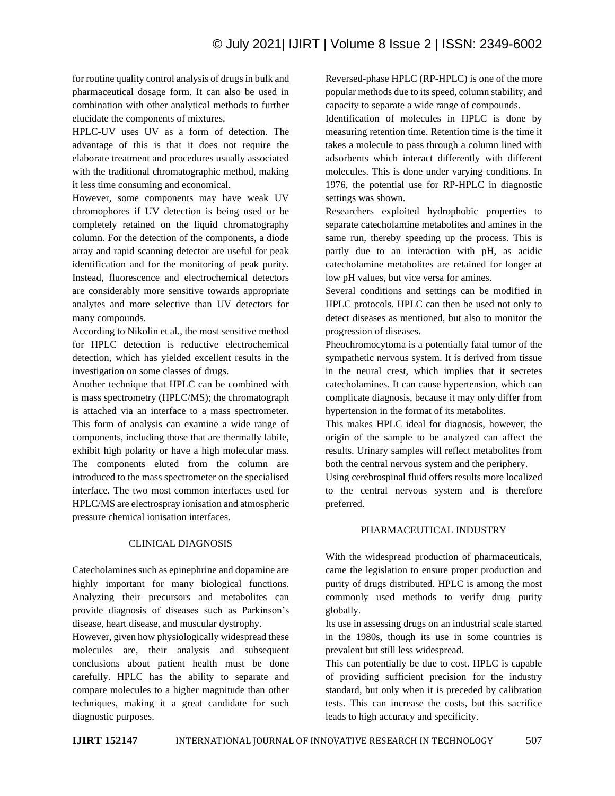for routine quality control analysis of drugs in bulk and pharmaceutical dosage form. It can also be used in combination with other analytical methods to further elucidate the components of mixtures.

HPLC-UV uses UV as a form of detection. The advantage of this is that it does not require the elaborate treatment and procedures usually associated with the traditional chromatographic method, making it less time consuming and economical.

However, some components may have weak UV chromophores if UV detection is being used or be completely retained on the liquid chromatography column. For the detection of the components, a diode array and rapid scanning detector are useful for peak identification and for the monitoring of peak purity. Instead, fluorescence and electrochemical detectors are considerably more sensitive towards appropriate analytes and more selective than UV detectors for many compounds.

According to Nikolin et al., the most sensitive method for HPLC detection is reductive electrochemical detection, which has yielded excellent results in the investigation on some classes of drugs.

Another technique that HPLC can be combined with is mass spectrometry (HPLC/MS); the chromatograph is attached via an interface to a mass spectrometer. This form of analysis can examine a wide range of components, including those that are thermally labile, exhibit high polarity or have a high molecular mass. The components eluted from the column are introduced to the mass spectrometer on the specialised interface. The two most common interfaces used for HPLC/MS are electrospray ionisation and atmospheric pressure chemical ionisation interfaces.

#### CLINICAL DIAGNOSIS

Catecholamines such as epinephrine and dopamine are highly important for many biological functions. Analyzing their precursors and metabolites can provide diagnosis of diseases such as Parkinson's disease, heart disease, and muscular dystrophy.

However, given how physiologically widespread these molecules are, their analysis and subsequent conclusions about patient health must be done carefully. HPLC has the ability to separate and compare molecules to a higher magnitude than other techniques, making it a great candidate for such diagnostic purposes.

Reversed-phase HPLC (RP-HPLC) is one of the more popular methods due to its speed, column stability, and capacity to separate a wide range of compounds.

Identification of molecules in HPLC is done by measuring retention time. Retention time is the time it takes a molecule to pass through a column lined with adsorbents which interact differently with different molecules. This is done under varying conditions. In 1976, the potential use for RP-HPLC in diagnostic settings was shown.

Researchers exploited hydrophobic properties to separate catecholamine metabolites and amines in the same run, thereby speeding up the process. This is partly due to an interaction with pH, as acidic catecholamine metabolites are retained for longer at low pH values, but vice versa for amines.

Several conditions and settings can be modified in HPLC protocols. HPLC can then be used not only to detect diseases as mentioned, but also to monitor the progression of diseases.

Pheochromocytoma is a potentially fatal tumor of the sympathetic nervous system. It is derived from tissue in the neural crest, which implies that it secretes catecholamines. It can cause hypertension, which can complicate diagnosis, because it may only differ from hypertension in the format of its metabolites.

This makes HPLC ideal for diagnosis, however, the origin of the sample to be analyzed can affect the results. Urinary samples will reflect metabolites from both the central nervous system and the periphery.

Using cerebrospinal fluid offers results more localized to the central nervous system and is therefore preferred.

#### PHARMACEUTICAL INDUSTRY

With the widespread production of pharmaceuticals, came the legislation to ensure proper production and purity of drugs distributed. HPLC is among the most commonly used methods to verify drug purity globally.

Its use in assessing drugs on an industrial scale started in the 1980s, though its use in some countries is prevalent but still less widespread.

This can potentially be due to cost. HPLC is capable of providing sufficient precision for the industry standard, but only when it is preceded by calibration tests. This can increase the costs, but this sacrifice leads to high accuracy and specificity.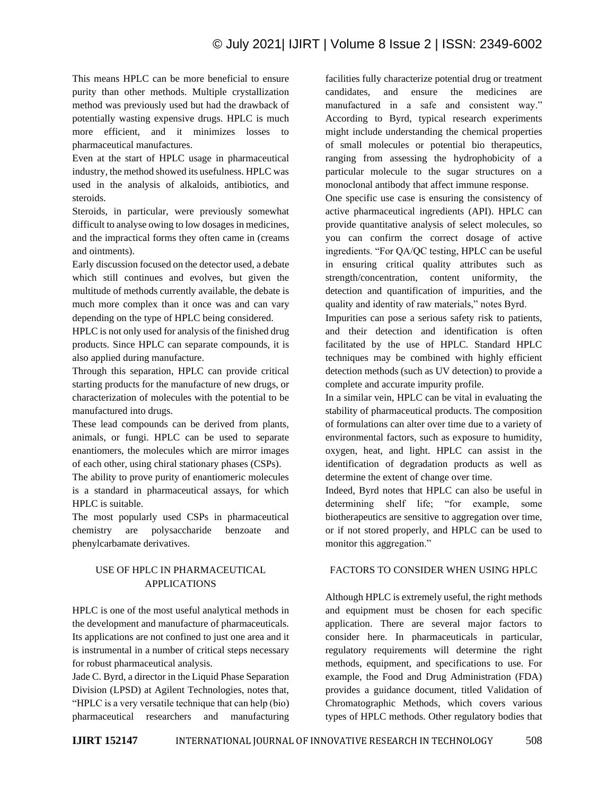This means HPLC can be more beneficial to ensure purity than other methods. Multiple crystallization method was previously used but had the drawback of potentially wasting expensive drugs. HPLC is much more efficient, and it minimizes losses to pharmaceutical manufactures.

Even at the start of HPLC usage in pharmaceutical industry, the method showed its usefulness. HPLC was used in the analysis of alkaloids, antibiotics, and steroids.

Steroids, in particular, were previously somewhat difficult to analyse owing to low dosages in medicines, and the impractical forms they often came in (creams and ointments).

Early discussion focused on the detector used, a debate which still continues and evolves, but given the multitude of methods currently available, the debate is much more complex than it once was and can vary depending on the type of HPLC being considered.

HPLC is not only used for analysis of the finished drug products. Since HPLC can separate compounds, it is also applied during manufacture.

Through this separation, HPLC can provide critical starting products for the manufacture of new drugs, or characterization of molecules with the potential to be manufactured into drugs.

These lead compounds can be derived from plants, animals, or fungi. HPLC can be used to separate enantiomers, the molecules which are mirror images of each other, using chiral stationary phases (CSPs).

The ability to prove purity of enantiomeric molecules is a standard in pharmaceutical assays, for which HPLC is suitable.

The most popularly used CSPs in pharmaceutical chemistry are polysaccharide benzoate and phenylcarbamate derivatives.

# USE OF HPLC IN PHARMACEUTICAL APPLICATIONS

HPLC is one of the most useful analytical methods in the development and manufacture of pharmaceuticals. Its applications are not confined to just one area and it is instrumental in a number of critical steps necessary for robust pharmaceutical analysis.

Jade C. Byrd, a director in the Liquid Phase Separation Division (LPSD) at Agilent Technologies, notes that, "HPLC is a very versatile technique that can help (bio) pharmaceutical researchers and manufacturing facilities fully characterize potential drug or treatment candidates, and ensure the medicines are manufactured in a safe and consistent way." According to Byrd, typical research experiments might include understanding the chemical properties of small molecules or potential bio therapeutics, ranging from assessing the hydrophobicity of a particular molecule to the sugar structures on a monoclonal antibody that affect immune response.

One specific use case is ensuring the consistency of active pharmaceutical ingredients (API). HPLC can provide quantitative analysis of select molecules, so you can confirm the correct dosage of active ingredients. "For QA/QC testing, HPLC can be useful in ensuring critical quality attributes such as strength/concentration, content uniformity, the detection and quantification of impurities, and the quality and identity of raw materials," notes Byrd.

Impurities can pose a serious safety risk to patients, and their detection and identification is often facilitated by the use of HPLC. Standard HPLC techniques may be combined with highly efficient detection methods (such as UV detection) to provide a complete and accurate impurity profile.

In a similar vein, HPLC can be vital in evaluating the stability of pharmaceutical products. The composition of formulations can alter over time due to a variety of environmental factors, such as exposure to humidity, oxygen, heat, and light. HPLC can assist in the identification of degradation products as well as determine the extent of change over time.

Indeed, Byrd notes that HPLC can also be useful in determining shelf life; "for example, some biotherapeutics are sensitive to aggregation over time, or if not stored properly, and HPLC can be used to monitor this aggregation."

#### FACTORS TO CONSIDER WHEN USING HPLC

Although HPLC is extremely useful, the right methods and equipment must be chosen for each specific application. There are several major factors to consider here. In pharmaceuticals in particular, regulatory requirements will determine the right methods, equipment, and specifications to use. For example, the Food and Drug Administration (FDA) provides a guidance document, titled Validation of Chromatographic Methods, which covers various types of HPLC methods. Other regulatory bodies that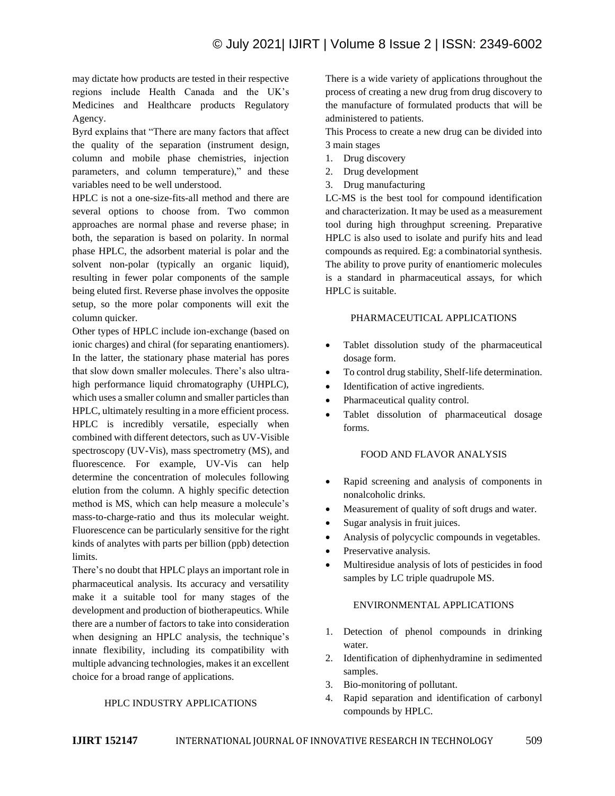may dictate how products are tested in their respective regions include Health Canada and the UK's Medicines and Healthcare products Regulatory Agency.

Byrd explains that "There are many factors that affect the quality of the separation (instrument design, column and mobile phase chemistries, injection parameters, and column temperature)," and these variables need to be well understood.

HPLC is not a one-size-fits-all method and there are several options to choose from. Two common approaches are normal phase and reverse phase; in both, the separation is based on polarity. In normal phase HPLC, the adsorbent material is polar and the solvent non-polar (typically an organic liquid), resulting in fewer polar components of the sample being eluted first. Reverse phase involves the opposite setup, so the more polar components will exit the column quicker.

Other types of HPLC include ion-exchange (based on ionic charges) and chiral (for separating enantiomers). In the latter, the stationary phase material has pores that slow down smaller molecules. There's also ultrahigh performance liquid chromatography (UHPLC), which uses a smaller column and smaller particles than HPLC, ultimately resulting in a more efficient process. HPLC is incredibly versatile, especially when combined with different detectors, such as UV-Visible spectroscopy (UV-Vis), mass spectrometry (MS), and fluorescence. For example, UV-Vis can help determine the concentration of molecules following elution from the column. A highly specific detection method is MS, which can help measure a molecule's mass-to-charge-ratio and thus its molecular weight. Fluorescence can be particularly sensitive for the right kinds of analytes with parts per billion (ppb) detection limits.

There's no doubt that HPLC plays an important role in pharmaceutical analysis. Its accuracy and versatility make it a suitable tool for many stages of the development and production of biotherapeutics. While there are a number of factors to take into consideration when designing an HPLC analysis, the technique's innate flexibility, including its compatibility with multiple advancing technologies, makes it an excellent choice for a broad range of applications.

#### HPLC INDUSTRY APPLICATIONS

There is a wide variety of applications throughout the process of creating a new drug from drug discovery to the manufacture of formulated products that will be administered to patients.

This Process to create a new drug can be divided into 3 main stages

- 1. Drug discovery
- 2. Drug development
- 3. Drug manufacturing

LC-MS is the best tool for compound identification and characterization. It may be used as a measurement tool during high throughput screening. Preparative HPLC is also used to isolate and purify hits and lead compounds as required. Eg: a combinatorial synthesis. The ability to prove purity of enantiomeric molecules is a standard in pharmaceutical assays, for which HPLC is suitable.

#### PHARMACEUTICAL APPLICATIONS

- Tablet dissolution study of the pharmaceutical dosage form.
- To control drug stability, Shelf-life determination.
- Identification of active ingredients.
- Pharmaceutical quality control.
- Tablet dissolution of pharmaceutical dosage forms.

#### FOOD AND FLAVOR ANALYSIS

- Rapid screening and analysis of components in nonalcoholic drinks.
- Measurement of quality of soft drugs and water.
- Sugar analysis in fruit juices.
- Analysis of polycyclic compounds in vegetables.
- Preservative analysis.
- Multiresidue analysis of lots of pesticides in food samples by LC triple quadrupole MS.

#### ENVIRONMENTAL APPLICATIONS

- 1. Detection of phenol compounds in drinking water.
- 2. Identification of diphenhydramine in sedimented samples.
- 3. Bio-monitoring of pollutant.
- 4. Rapid separation and identification of carbonyl compounds by HPLC.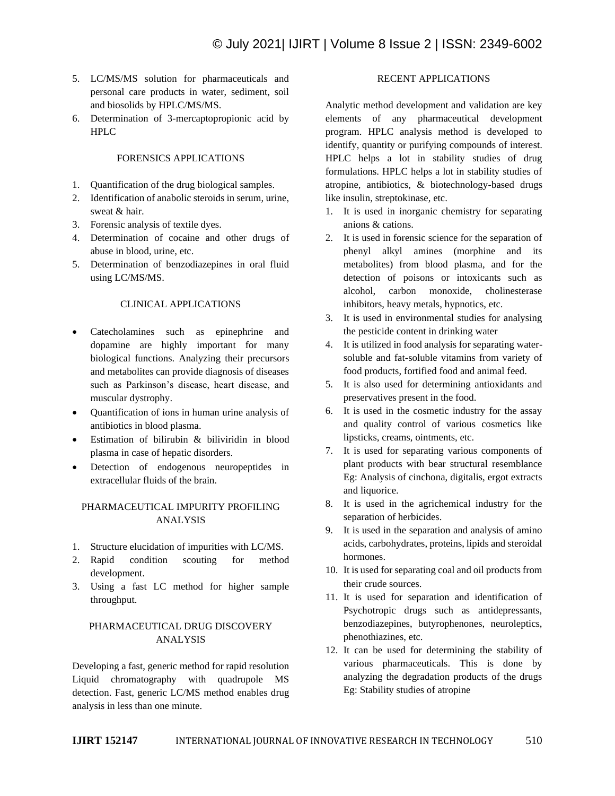- 5. LC/MS/MS solution for pharmaceuticals and personal care products in water, sediment, soil and biosolids by HPLC/MS/MS.
- 6. Determination of 3-mercaptopropionic acid by HPLC

#### FORENSICS APPLICATIONS

- 1. Quantification of the drug biological samples.
- 2. Identification of anabolic steroids in serum, urine, sweat & hair.
- 3. Forensic analysis of textile dyes.
- 4. Determination of cocaine and other drugs of abuse in blood, urine, etc.
- 5. Determination of benzodiazepines in oral fluid using LC/MS/MS.

#### CLINICAL APPLICATIONS

- Catecholamines such as epinephrine and dopamine are highly important for many biological functions. Analyzing their precursors and metabolites can provide diagnosis of diseases such as Parkinson's disease, heart disease, and muscular dystrophy.
- Quantification of ions in human urine analysis of antibiotics in blood plasma.
- Estimation of bilirubin & biliviridin in blood plasma in case of hepatic disorders.
- Detection of endogenous neuropeptides in extracellular fluids of the brain.

#### PHARMACEUTICAL IMPURITY PROFILING ANALYSIS

- 1. Structure elucidation of impurities with LC/MS.
- 2. Rapid condition scouting for method development.
- 3. Using a fast LC method for higher sample throughput.

## PHARMACEUTICAL DRUG DISCOVERY ANALYSIS

Developing a fast, generic method for rapid resolution Liquid chromatography with quadrupole MS detection. Fast, generic LC/MS method enables drug analysis in less than one minute.

## RECENT APPLICATIONS

Analytic method development and validation are key elements of any pharmaceutical development program. HPLC analysis method is developed to identify, quantity or purifying compounds of interest. HPLC helps a lot in stability studies of drug formulations. HPLC helps a lot in stability studies of atropine, antibiotics, & biotechnology-based drugs like insulin, streptokinase, etc.

- 1. It is used in inorganic chemistry for separating anions & cations.
- 2. It is used in forensic science for the separation of phenyl alkyl amines (morphine and its metabolites) from blood plasma, and for the detection of poisons or intoxicants such as alcohol, carbon monoxide, cholinesterase inhibitors, heavy metals, hypnotics, etc.
- 3. It is used in environmental studies for analysing the pesticide content in drinking water
- 4. It is utilized in food analysis for separating watersoluble and fat-soluble vitamins from variety of food products, fortified food and animal feed.
- 5. It is also used for determining antioxidants and preservatives present in the food.
- 6. It is used in the cosmetic industry for the assay and quality control of various cosmetics like lipsticks, creams, ointments, etc.
- 7. It is used for separating various components of plant products with bear structural resemblance Eg: Analysis of cinchona, digitalis, ergot extracts and liquorice.
- 8. It is used in the agrichemical industry for the separation of herbicides.
- 9. It is used in the separation and analysis of amino acids, carbohydrates, proteins, lipids and steroidal hormones.
- 10. It is used for separating coal and oil products from their crude sources.
- 11. It is used for separation and identification of Psychotropic drugs such as antidepressants, benzodiazepines, butyrophenones, neuroleptics, phenothiazines, etc.
- 12. It can be used for determining the stability of various pharmaceuticals. This is done by analyzing the degradation products of the drugs Eg: Stability studies of atropine